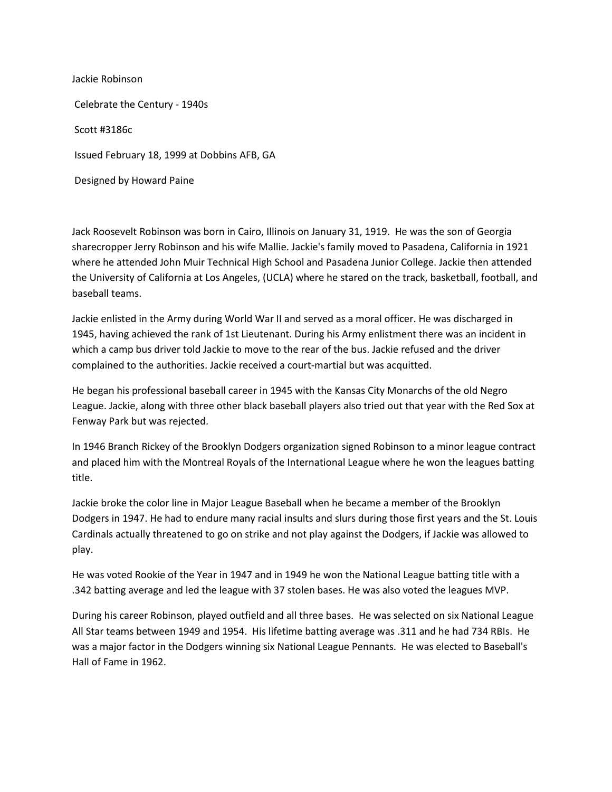Jackie Robinson Celebrate the Century - 1940s Scott #3186c Issued February 18, 1999 at Dobbins AFB, GA Designed by Howard Paine

Jack Roosevelt Robinson was born in Cairo, Illinois on January 31, 1919. He was the son of Georgia sharecropper Jerry Robinson and his wife Mallie. Jackie's family moved to Pasadena, California in 1921 where he attended John Muir Technical High School and Pasadena Junior College. Jackie then attended the University of California at Los Angeles, (UCLA) where he stared on the track, basketball, football, and baseball teams.

Jackie enlisted in the Army during World War II and served as a moral officer. He was discharged in 1945, having achieved the rank of 1st Lieutenant. During his Army enlistment there was an incident in which a camp bus driver told Jackie to move to the rear of the bus. Jackie refused and the driver complained to the authorities. Jackie received a court-martial but was acquitted.

He began his professional baseball career in 1945 with the Kansas City Monarchs of the old Negro League. Jackie, along with three other black baseball players also tried out that year with the Red Sox at Fenway Park but was rejected.

In 1946 Branch Rickey of the Brooklyn Dodgers organization signed Robinson to a minor league contract and placed him with the Montreal Royals of the International League where he won the leagues batting title.

Jackie broke the color line in Major League Baseball when he became a member of the Brooklyn Dodgers in 1947. He had to endure many racial insults and slurs during those first years and the St. Louis Cardinals actually threatened to go on strike and not play against the Dodgers, if Jackie was allowed to play.

He was voted Rookie of the Year in 1947 and in 1949 he won the National League batting title with a .342 batting average and led the league with 37 stolen bases. He was also voted the leagues MVP.

During his career Robinson, played outfield and all three bases. He was selected on six National League All Star teams between 1949 and 1954. His lifetime batting average was .311 and he had 734 RBIs. He was a major factor in the Dodgers winning six National League Pennants. He was elected to Baseball's Hall of Fame in 1962.